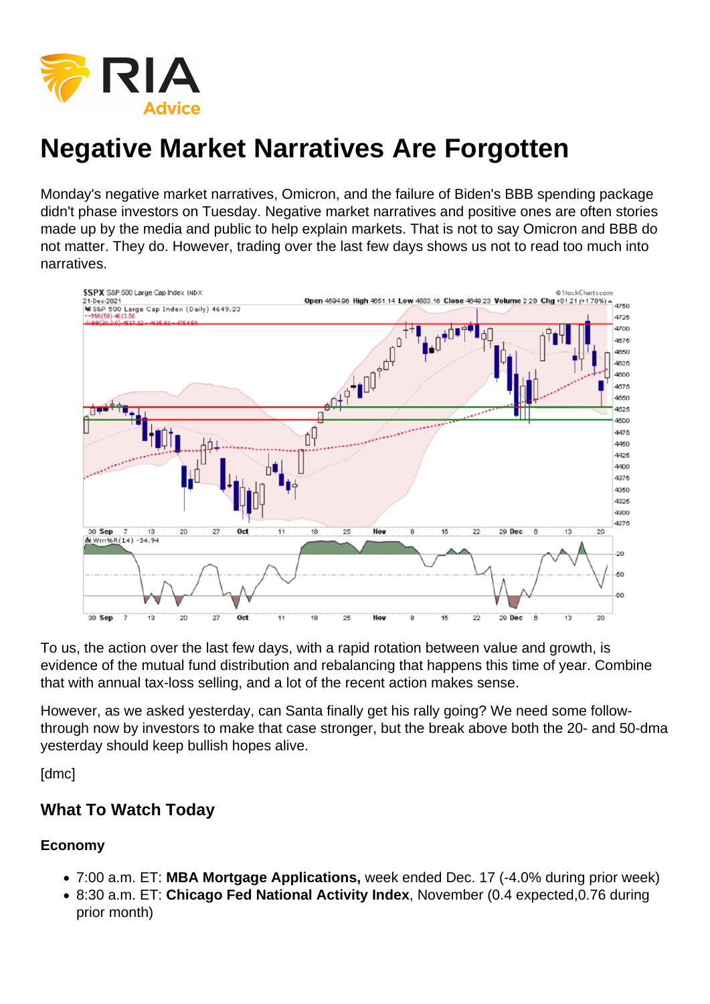# Negative Market Narratives Are Forgotten

Monday's negative market narratives, Omicron, and the failure of Biden's BBB spending package didn't phase investors on Tuesday. Negative market narratives and positive ones are often stories made up by the media and public to help explain markets. That is not to say Omicron and BBB do not matter. They do. However, trading over the last few days shows us not to read too much into narratives.

To us, the action over the last few days, with a rapid rotation between value and growth, is evidence of the mutual fund distribution and rebalancing that happens this time of year. Combine that with annual tax-loss selling, and a lot of the recent action makes sense.

However, as we asked yesterday, can Santa finally get his rally going? We need some followthrough now by investors to make that case stronger, but the break above both the 20- and 50-dma yesterday should keep bullish hopes alive.

[dmc]

What To Watch Today

Economy

- 7:00 a.m. ET: MBA Mortgage Applications, week ended Dec. 17 (-4.0% during prior week)
- 8:30 a.m. ET: Chicago Fed National Activity Index , November (0.4 expected,0.76 during prior month)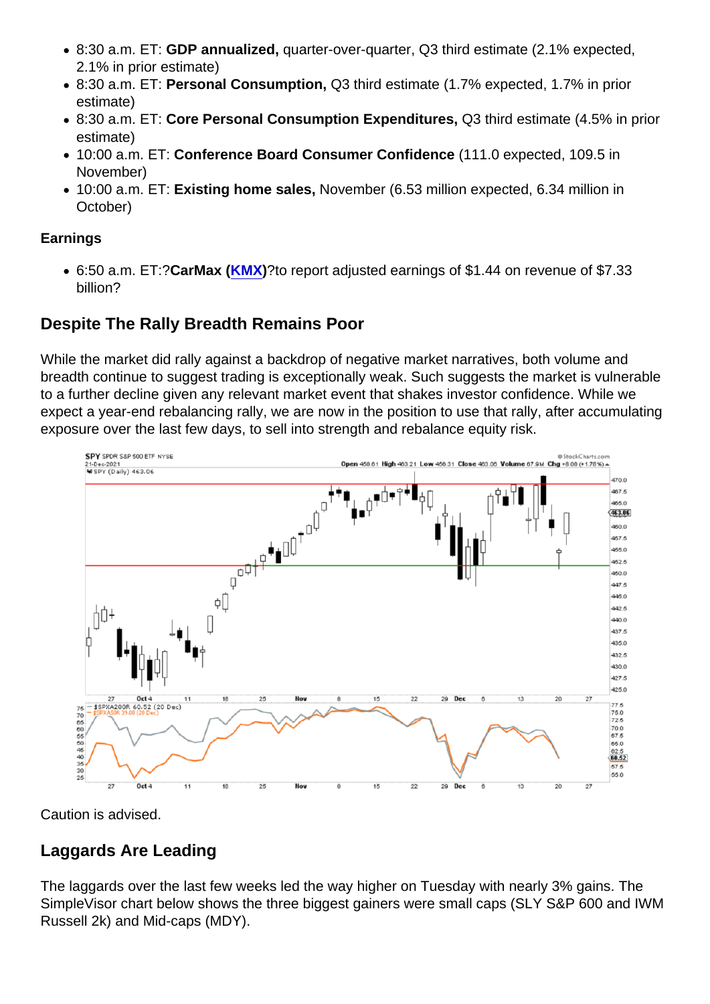- 8:30 a.m. ET: GDP annualized, quarter-over-quarter, Q3 third estimate (2.1% expected, 2.1% in prior estimate)
- 8:30 a.m. ET: Personal Consumption, Q3 third estimate (1.7% expected, 1.7% in prior estimate)
- 8:30 a.m. ET: Core Personal Consumption Expenditures, Q3 third estimate (4.5% in prior estimate)
- 10:00 a.m. ET: Conference Board Consumer Confidence (111.0 expected, 109.5 in November)
- 10:00 a.m. ET: Existing home sales, November (6.53 million expected, 6.34 million in October)

#### Earnings

6:50 a.m. ET:?CarMax ([KMX](https://finance.yahoo.com/quote/KMX))?to report adjusted earnings of \$1.44 on revenue of \$7.33 billion?

### Despite The Rally Breadth Remains Poor

While the market did rally against a backdrop of negative market narratives, both volume and breadth continue to suggest trading is exceptionally weak. Such suggests the market is vulnerable to a further decline given any relevant market event that shakes investor confidence. While we expect a year-end rebalancing rally, we are now in the position to use that rally, after accumulating exposure over the last few days, to sell into strength and rebalance equity risk.

Caution is advised.

#### Laggards Are Leading

The laggards over the last few weeks led the way higher on Tuesday with nearly 3% gains. The SimpleVisor chart below shows the three biggest gainers were small caps (SLY S&P 600 and IWM Russell 2k) and Mid-caps (MDY).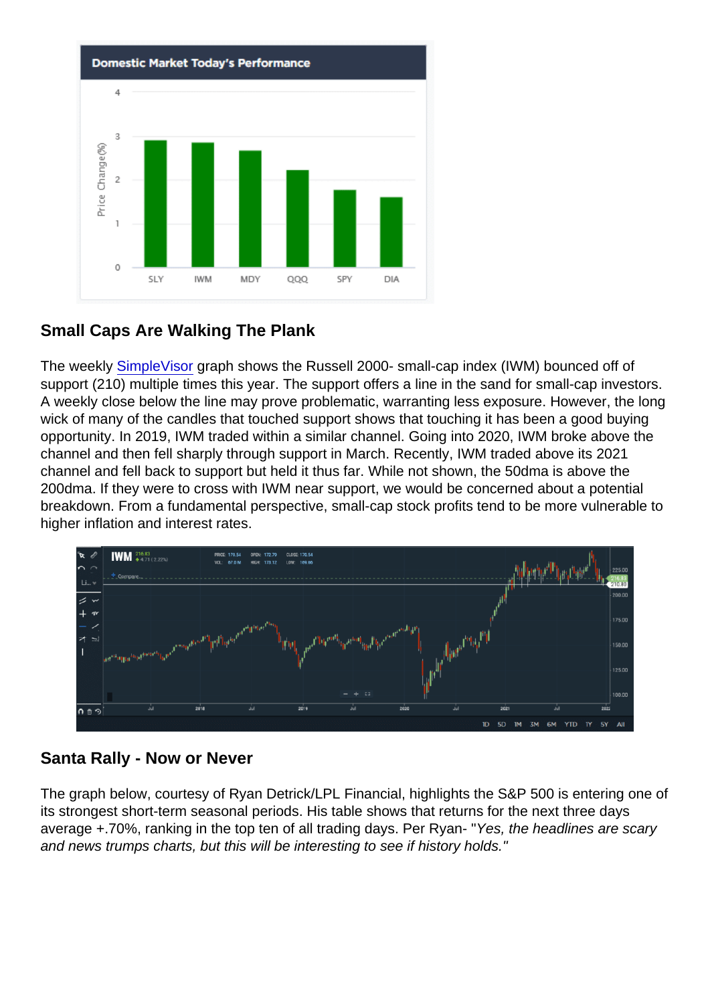#### Small Caps Are Walking The Plank

The weekly [SimpleVisor](https://simplevisor.com/charts/IWM) graph shows the Russell 2000- small-cap index (IWM) bounced off of support (210) multiple times this year. The support offers a line in the sand for small-cap investors. A weekly close below the line may prove problematic, warranting less exposure. However, the long wick of many of the candles that touched support shows that touching it has been a good buying opportunity. In 2019, IWM traded within a similar channel. Going into 2020, IWM broke above the channel and then fell sharply through support in March. Recently, IWM traded above its 2021 channel and fell back to support but held it thus far. While not shown, the 50dma is above the 200dma. If they were to cross with IWM near support, we would be concerned about a potential breakdown. From a fundamental perspective, small-cap stock profits tend to be more vulnerable to higher inflation and interest rates.

#### Santa Rally - Now or Never

The graph below, courtesy of Ryan Detrick/LPL Financial, highlights the S&P 500 is entering one of its strongest short-term seasonal periods. His table shows that returns for the next three days average +.70%, ranking in the top ten of all trading days. Per Ryan- "Yes, the headlines are scary and news trumps charts, but this will be interesting to see if history holds."